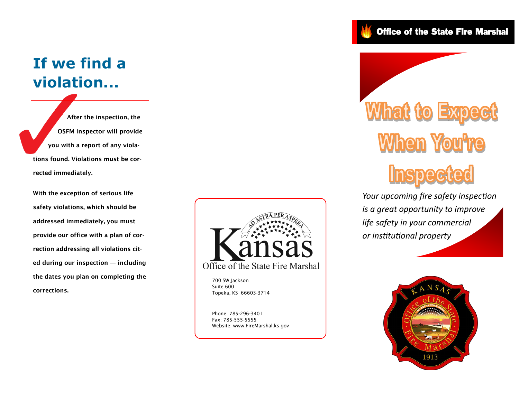# **If we find a violation...**

 **After the inspection, the OSFM inspector will provide you with a report of any violations found. Violations must be corrected immediately.** 

**With the exception of serious life safety violations, which should be addressed immediately, you must provide our office with a plan of correction addressing all violations cited during our inspection — including the dates you plan on completing the corrections.**



700 SW Jackson Suite 600 Topeka, KS 66603-3714

Phone: 785-296-3401 Fax: 785-555-5555 Website: www.FireMarshal.ks.gov Office of the State Fire Marshal



*Your upcoming fire safety inspection is a great opportunity to improve life safety in your commercial or institutional property*